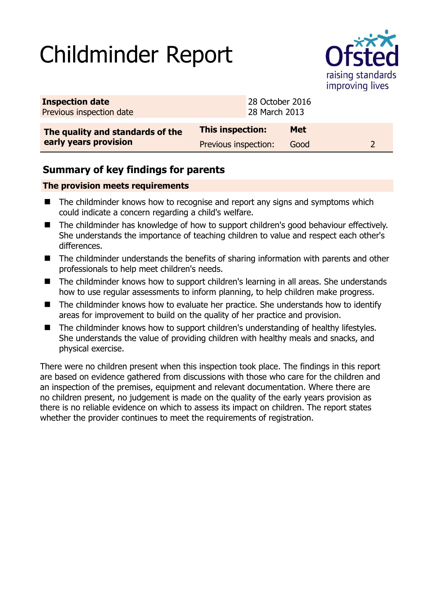# Childminder Report



| <b>Inspection date</b><br>Previous inspection date        | 28 October 2016<br>28 March 2013 |            |  |
|-----------------------------------------------------------|----------------------------------|------------|--|
| The quality and standards of the<br>early years provision | This inspection:                 | <b>Met</b> |  |
|                                                           | Previous inspection:             | Good       |  |

## **Summary of key findings for parents**

### **The provision meets requirements**

- The childminder knows how to recognise and report any signs and symptoms which could indicate a concern regarding a child's welfare.
- The childminder has knowledge of how to support children's good behaviour effectively. She understands the importance of teaching children to value and respect each other's differences.
- The childminder understands the benefits of sharing information with parents and other professionals to help meet children's needs.
- The childminder knows how to support children's learning in all areas. She understands how to use regular assessments to inform planning, to help children make progress.
- The childminder knows how to evaluate her practice. She understands how to identify areas for improvement to build on the quality of her practice and provision.
- The childminder knows how to support children's understanding of healthy lifestyles. She understands the value of providing children with healthy meals and snacks, and physical exercise.

There were no children present when this inspection took place. The findings in this report are based on evidence gathered from discussions with those who care for the children and an inspection of the premises, equipment and relevant documentation. Where there are no children present, no judgement is made on the quality of the early years provision as there is no reliable evidence on which to assess its impact on children. The report states whether the provider continues to meet the requirements of registration.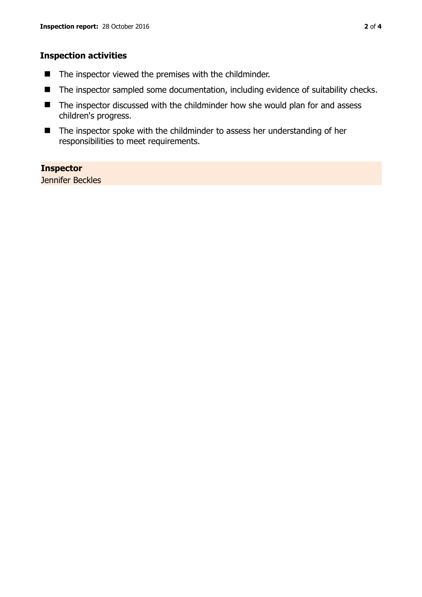### **Inspection activities**

- $\blacksquare$  The inspector viewed the premises with the childminder.
- The inspector sampled some documentation, including evidence of suitability checks.
- The inspector discussed with the childminder how she would plan for and assess children's progress.
- The inspector spoke with the childminder to assess her understanding of her responsibilities to meet requirements.

#### **Inspector**

Jennifer Beckles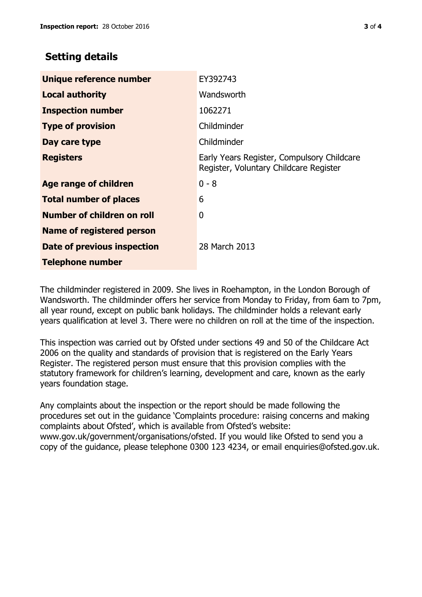## **Setting details**

| Unique reference number       | EY392743                                                                             |
|-------------------------------|--------------------------------------------------------------------------------------|
| <b>Local authority</b>        | Wandsworth                                                                           |
| <b>Inspection number</b>      | 1062271                                                                              |
| <b>Type of provision</b>      | Childminder                                                                          |
| Day care type                 | Childminder                                                                          |
| <b>Registers</b>              | Early Years Register, Compulsory Childcare<br>Register, Voluntary Childcare Register |
| Age range of children         | $0 - 8$                                                                              |
| <b>Total number of places</b> | 6                                                                                    |
| Number of children on roll    | 0                                                                                    |
| Name of registered person     |                                                                                      |
| Date of previous inspection   | 28 March 2013                                                                        |
| <b>Telephone number</b>       |                                                                                      |

The childminder registered in 2009. She lives in Roehampton, in the London Borough of Wandsworth. The childminder offers her service from Monday to Friday, from 6am to 7pm, all year round, except on public bank holidays. The childminder holds a relevant early years qualification at level 3. There were no children on roll at the time of the inspection.

This inspection was carried out by Ofsted under sections 49 and 50 of the Childcare Act 2006 on the quality and standards of provision that is registered on the Early Years Register. The registered person must ensure that this provision complies with the statutory framework for children's learning, development and care, known as the early years foundation stage.

Any complaints about the inspection or the report should be made following the procedures set out in the guidance 'Complaints procedure: raising concerns and making complaints about Ofsted', which is available from Ofsted's website: www.gov.uk/government/organisations/ofsted. If you would like Ofsted to send you a copy of the guidance, please telephone 0300 123 4234, or email enquiries@ofsted.gov.uk.